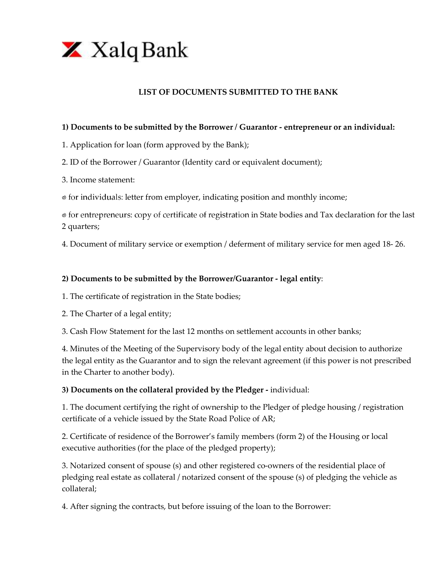

### **LIST OF DOCUMENTS SUBMITTED TO THE BANK**

#### **1) Documents to be submitted by the Borrower / Guarantor - entrepreneur or an individual:**

- 1. Application for loan (form approved by the Bank);
- 2. ID of the Borrower / Guarantor (Identity card or equivalent document);
- 3. Income statement:
- $\bullet$  for individuals: letter from employer, indicating position and monthly income;

 $\bullet$  for entrepreneurs: copy of certificate of registration in State bodies and Tax declaration for the last 2 quarters;

4. Document of military service or exemption / deferment of military service for men aged 18- 26.

#### **2) Documents to be submitted by the Borrower/Guarantor - legal entity**:

1. The certificate of registration in the State bodies;

2. The Charter of a legal entity;

3. Cash Flow Statement for the last 12 months on settlement accounts in other banks;

4. Minutes of the Meeting of the Supervisory body of the legal entity about decision to authorize the legal entity as the Guarantor and to sign the relevant agreement (if this power is not prescribed in the Charter to another body).

#### **3) Documents on the collateral provided by the Pledger -** individual:

1. The document certifying the right of ownership to the Pledger of pledge housing / registration certificate of a vehicle issued by the State Road Police of AR;

2. Certificate of residence of the Borrower's family members (form 2) of the Housing or local executive authorities (for the place of the pledged property);

3. Notarized consent of spouse (s) and other registered co-owners of the residential place of pledging real estate as collateral / notarized consent of the spouse (s) of pledging the vehicle as collateral;

4. After signing the contracts, but before issuing of the loan to the Borrower: